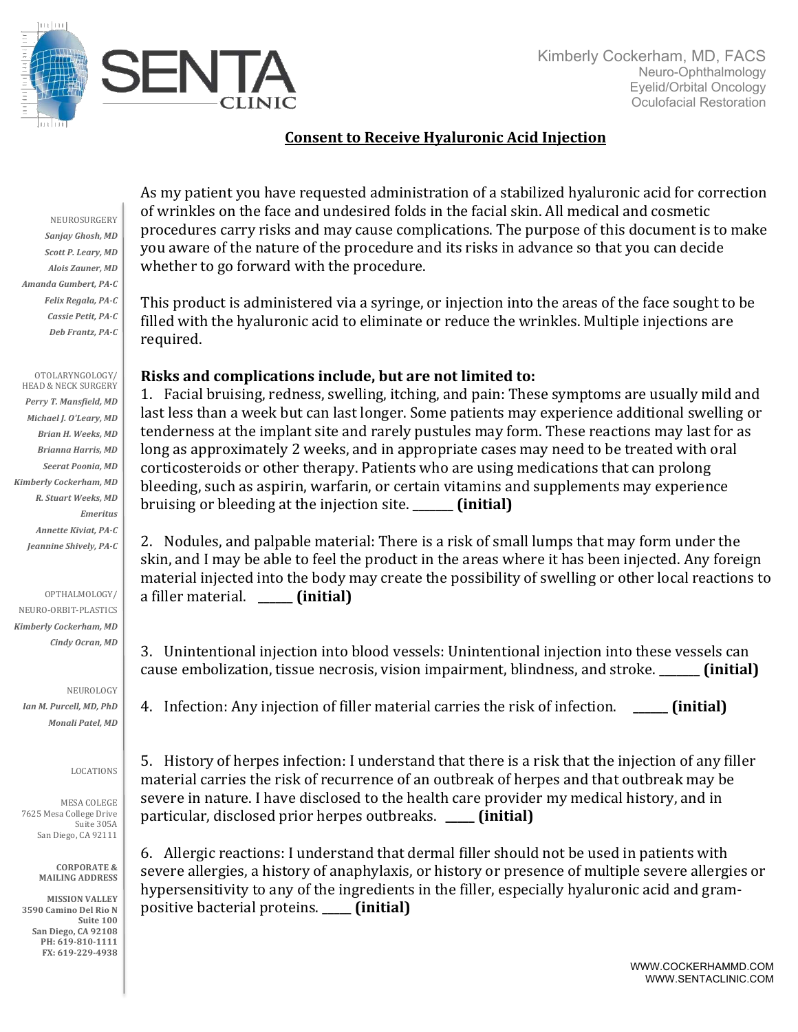

## **Consent to Receive Hyaluronic Acid Injection**

NEUROSURGERY Sanjay Ghosh, MD **Scott P. Leary, MD** *Alois Zauner, MD Amanda Gumbert, PA-C Felix Regala, PA-C Cassie Petit, PA-C Deb Frantz, PA-C*

OTOLARYNGOLOGY/ HEAD & NECK SURGERY Perry T. Mansfield, MD *Michael J. O'Leary, MD Brian H. Weeks, MD Brianna Harris, MD Seerat Poonia, MD Kimberly Cockerham, MD R. Stuart Weeks, MD Emeritus Annette Kiviat, PA-C* Jeannine Shively, PA-C

OPTHALMOLOGY/

NEURO-ORBIT-PLASTICS *Kimberly Cockerham, MD Cindy Ocran, MD*

NEUROLOGY *Ian M. Purcell, MD, PhD Monali Patel, MD*

## LOCATIONS

MESA COLEGE 7625 Mesa College Drive Suite 305A San Diego, CA 92111

> **CORPORATE & MAILING ADDRESS**

**MISSION VALLEY 3590 Camino Del Rio N Suite 100 San Diego, CA 92108** PH: 619-810-1111 **FX: 619-229-4938**

As my patient you have requested administration of a stabilized hyaluronic acid for correction of wrinkles on the face and undesired folds in the facial skin. All medical and cosmetic procedures carry risks and may cause complications. The purpose of this document is to make you aware of the nature of the procedure and its risks in advance so that you can decide whether to go forward with the procedure.

This product is administered via a syringe, or injection into the areas of the face sought to be filled with the hyaluronic acid to eliminate or reduce the wrinkles. Multiple injections are required. 

## Risks and complications include, but are not limited to:

1. Facial bruising, redness, swelling, itching, and pain: These symptoms are usually mild and last less than a week but can last longer. Some patients may experience additional swelling or tenderness at the implant site and rarely pustules may form. These reactions may last for as long as approximately 2 weeks, and in appropriate cases may need to be treated with oral corticosteroids or other therapy. Patients who are using medications that can prolong bleeding, such as aspirin, warfarin, or certain vitamins and supplements may experience bruising or bleeding at the injection site. **\_\_\_\_\_ (initial)** 

2. Nodules, and palpable material: There is a risk of small lumps that may form under the skin, and I may be able to feel the product in the areas where it has been injected. Any foreign material injected into the body may create the possibility of swelling or other local reactions to a filler material. *(initial)* 

3. Unintentional injection into blood vessels: Unintentional injection into these vessels can cause embolization, tissue necrosis, vision impairment, blindness, and stroke. **\_\_\_\_\_\_ (initial)** 

4. Infection: Any injection of filler material carries the risk of infection. **\_\_\_\_\_ (initial)** 

5. History of herpes infection: I understand that there is a risk that the injection of any filler material carries the risk of recurrence of an outbreak of herpes and that outbreak may be severe in nature. I have disclosed to the health care provider my medical history, and in particular, disclosed prior herpes outbreaks. **\_\_\_\_ (initial)** 

6. Allergic reactions: I understand that dermal filler should not be used in patients with severe allergies, a history of anaphylaxis, or history or presence of multiple severe allergies or hypersensitivity to any of the ingredients in the filler, especially hyaluronic acid and grampositive bacterial proteins. **\_\_\_\_** (initial)